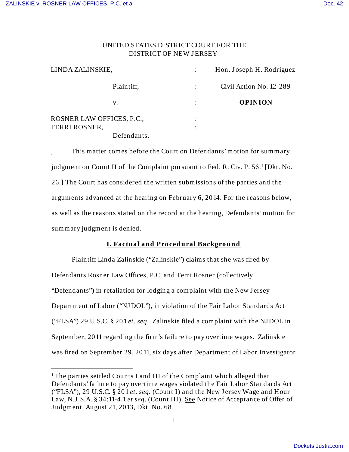$\overline{a}$ 

## UNITED STATES DISTRICT COURT FOR THE DISTRICT OF NEW JERSEY

| LINDA ZALINSKIE,          | Hon. Joseph H. Rodriguez |
|---------------------------|--------------------------|
| Plaintiff,                | Civil Action No. 12-289  |
| v.                        | <b>OPINION</b>           |
| ROSNER LAW OFFICES, P.C., |                          |
| <b>TERRI ROSNER,</b>      |                          |
| Defendants.               |                          |

 This matter comes before the Court on Defendants' motion for summary judgment on Count II of the Complaint pursuant to Fed. R. Civ. P. 56.<sup>1</sup> [Dkt. No. 26.] The Court has considered the written submissions of the parties and the arguments advanced at the hearing on February 6, 2014. For the reasons below, as well as the reasons stated on the record at the hearing, Defendants' motion for summary judgment is denied.

# **I. Factual an d Pro ce dural Backgro un d**

Plaintiff Linda Zalinskie ("Zalinskie") claims that she was fired by Defendants Rosner Law Offices, P.C. and Terri Rosner (collectively "Defendants") in retaliation for lodging a complaint with the New Jersey Department of Labor ("NJ DOL"), in violation of the Fair Labor Standards Act ("FLSA") 29 U.S.C. § 201 *et. seq*. Zalinskie filed a complaint with the NJ DOL in September, 2011 regarding the firm's failure to pay overtime wages. Zalinskie was fired on September 29, 2011, six days after Department of Labor Investigator

<sup>&</sup>lt;sup>1</sup> The parties settled Counts I and III of the Complaint which alleged that Defendants' failure to pay overtime wages violated the Fair Labor Standards Act ("FLSA"), 29 U.S.C. § 201 *et. seq.* (Count I) and the New J ersey Wage and Hour Law, N.J .S.A. § 34:11-4.1 *et seq*. (Count III). See Notice of Acceptance of Offer of J udgment, August 21, 2013, Dkt. No. 68.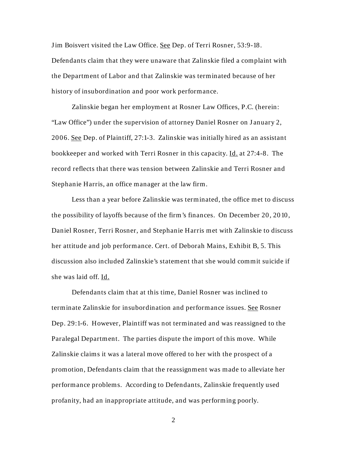Jim Boisvert visited the Law Office. See Dep. of Terri Rosner, 53:9-18. Defendants claim that they were unaware that Zalinskie filed a complaint with the Department of Labor and that Zalinskie was terminated because of her history of insubordination and poor work performance.

Zalinskie began her employment at Rosner Law Offices, P.C. (herein: "Law Office") under the supervision of attorney Daniel Rosner on January 2, 2006. See Dep. of Plaintiff, 27:1-3. Zalinskie was initially hired as an assistant bookkeeper and worked with Terri Rosner in this capacity. Id. at 27:4-8. The record reflects that there was tension between Zalinskie and Terri Rosner and Stephanie Harris, an office manager at the law firm.

Less than a year before Zalinskie was terminated, the office met to discuss the possibility of layoffs because of the firm's finances. On December 20, 2010, Daniel Rosner, Terri Rosner, and Stephanie Harris met with Zalinskie to discuss her attitude and job performance. Cert. of Deborah Mains, Exhibit B, 5. This discussion also included Zalinskie's statement that she would commit suicide if she was laid off. Id.

Defendants claim that at this time, Daniel Rosner was inclined to terminate Zalinskie for insubordination and performance issues. See Rosner Dep. 29:1-6. However, Plaintiff was not terminated and was reassigned to the Paralegal Department. The parties dispute the import of this move. While Zalinskie claims it was a lateral move offered to her with the prospect of a promotion, Defendants claim that the reassignment was made to alleviate her performance problems. According to Defendants, Zalinskie frequently used profanity, had an inappropriate attitude, and was performing poorly.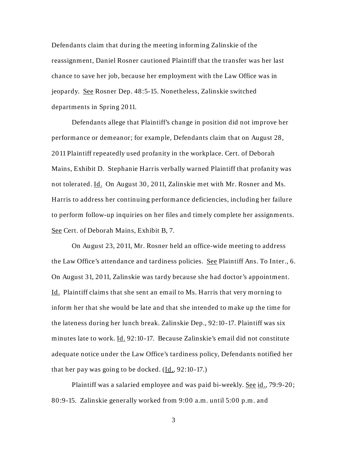Defendants claim that during the meeting informing Zalinskie of the reassignment, Daniel Rosner cautioned Plaintiff that the transfer was her last chance to save her job, because her employment with the Law Office was in jeopardy. See Rosner Dep. 48:5-15. Nonetheless, Zalinskie switched departments in Spring 2011.

Defendants allege that Plaintiff's change in position did not improve her performance or demeanor; for example, Defendants claim that on August 28, 2011 Plaintiff repeatedly used profanity in the workplace. Cert. of Deborah Mains, Exhibit D. Stephanie Harris verbally warned Plaintiff that profanity was not tolerated. Id. On August 30, 2011, Zalinskie met with Mr. Rosner and Ms. Harris to address her continuing performance deficiencies, including her failure to perform follow-up inquiries on her files and timely complete her assignments. See Cert. of Deborah Mains, Exhibit B, 7.

 On August 23, 2011, Mr. Rosner held an office-wide meeting to address the Law Office's attendance and tardiness policies. See Plaintiff Ans. To Inter., 6. On August 31, 2011, Zalinskie was tardy because she had doctor's appointment. Id. Plaintiff claims that she sent an email to Ms. Harris that very morning to inform her that she would be late and that she intended to make up the time for the lateness during her lunch break. Zalinskie Dep., 92:10-17. Plaintiff was six minutes late to work. Id. 92:10-17. Because Zalinskie's email did not constitute adequate notice under the Law Office's tardiness policy, Defendants notified her that her pay was going to be docked.  $(\underline{Id}, 92:10-17.)$ 

Plaintiff was a salaried employee and was paid bi-weekly. See id., 79:9-20; 80:9-15. Zalinskie generally worked from 9:00 a.m. until 5:00 p.m. and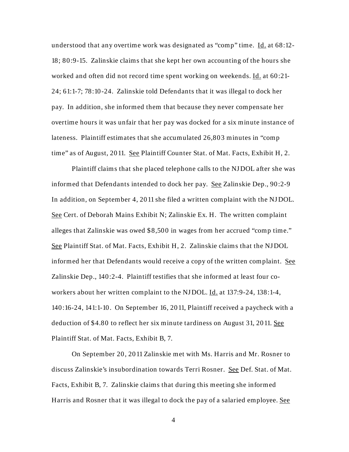understood that any overtime work was designated as "comp" time. Id. at 68:12-18; 80:9-15. Zalinskie claims that she kept her own accounting of the hours she worked and often did not record time spent working on weekends. Id. at 60:21- 24; 61:1-7; 78:10-24. Zalinskie told Defendants that it was illegal to dock her pay. In addition, she informed them that because they never compensate her overtime hours it was unfair that her pay was docked for a six minute instance of lateness. Plaintiff estimates that she accumulated 26,803 minutes in "comp time" as of August, 2011. See Plaintiff Counter Stat. of Mat. Facts, Exhibit H, 2.

Plaintiff claims that she placed telephone calls to the NJ DOL after she was informed that Defendants intended to dock her pay. See Zalinskie Dep., 90:2-9 In addition, on September 4, 2011 she filed a written complaint with the NJ DOL. See Cert. of Deborah Mains Exhibit N; Zalinskie Ex. H. The written complaint alleges that Zalinskie was owed \$8,500 in wages from her accrued "comp time." See Plaintiff Stat. of Mat. Facts, Exhibit H, 2. Zalinskie claims that the NJ DOL informed her that Defendants would receive a copy of the written complaint. See Zalinskie Dep., 140:2-4. Plaintiff testifies that she informed at least four coworkers about her written complaint to the NJDOL. Id. at 137:9-24, 138:1-4, 140:16-24, 141:1-10. On September 16, 2011, Plaintiff received a paycheck with a deduction of \$4.80 to reflect her six minute tardiness on August 31, 2011. See Plaintiff Stat. of Mat. Facts, Exhibit B, 7.

On September 20, 2011 Zalinskie met with Ms. Harris and Mr. Rosner to discuss Zalinskie's insubordination towards Terri Rosner. See Def. Stat. of Mat. Facts, Exhibit B, 7. Zalinskie claims that during this meeting she informed Harris and Rosner that it was illegal to dock the pay of a salaried employee. See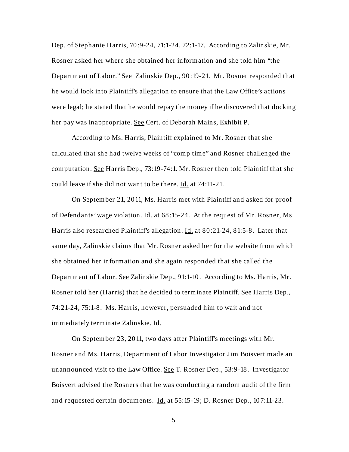Dep. of Stephanie Harris, 70:9-24, 71:1-24, 72:1-17. According to Zalinskie, Mr. Rosner asked her where she obtained her information and she told him "the Department of Labor." See Zalinskie Dep., 90:19-21. Mr. Rosner responded that he would look into Plaintiff's allegation to ensure that the Law Office's actions were legal; he stated that he would repay the money if he discovered that docking her pay was inappropriate. See Cert. of Deborah Mains, Exhibit P.

According to Ms. Harris, Plaintiff explained to Mr. Rosner that she calculated that she had twelve weeks of "comp time" and Rosner challenged the computation. See Harris Dep., 73:19-74:1. Mr. Rosner then told Plaintiff that she could leave if she did not want to be there. Id. at 74:11-21.

On September 21, 2011, Ms. Harris met with Plaintiff and asked for proof of Defendants' wage violation. Id. at 68:15-24. At the request of Mr. Rosner, Ms. Harris also researched Plaintiff's allegation. Id. at 80:21-24, 81:5-8. Later that same day, Zalinskie claims that Mr. Rosner asked her for the website from which she obtained her information and she again responded that she called the Department of Labor. See Zalinskie Dep., 91:1-10. According to Ms. Harris, Mr. Rosner told her (Harris) that he decided to terminate Plaintiff. See Harris Dep., 74:21-24, 75:1-8. Ms. Harris, however, persuaded him to wait and not immediately terminate Zalinskie. Id.

 On September 23, 2011, two days after Plaintiff's meetings with Mr. Rosner and Ms. Harris, Department of Labor Investigator J im Boisvert made an unannounced visit to the Law Office. See T. Rosner Dep., 53:9-18. Investigator Boisvert advised the Rosners that he was conducting a random audit of the firm and requested certain documents. Id. at 55:15-19; D. Rosner Dep., 107:11-23.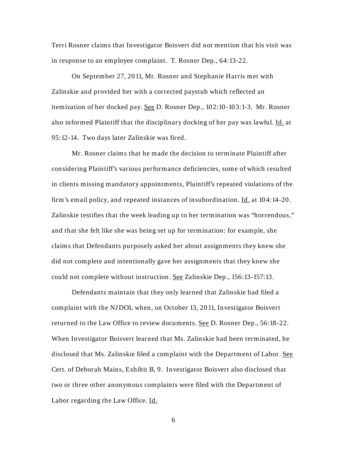Terri Rosner claims that Investigator Boisvert did not mention that his visit was in response to an employee complaint. T. Rosner Dep., 64:13-22.

On September 27, 2011, Mr. Rosner and Stephanie Harris met with Zalinskie and provided her with a corrected paystub which reflected an itemization of her docked pay. See D. Rosner Dep., 102:10-103:1-3. Mr. Rosner also informed Plaintiff that the disciplinary docking of her pay was lawful. Id. at 95:12-14. Two days later Zalinskie was fired.

Mr. Rosner claims that he made the decision to terminate Plaintiff after considering Plaintiff's various performance deficiencies, some of which resulted in clients missing mandatory appointments, Plaintiff's repeated violations of the firm's email policy, and repeated instances of insubordination. Id. at 104:14-20. Zalinskie testifies that the week leading up to her termination was "horrendous," and that she felt like she was being set up for termination: for example, she claims that Defendants purposely asked her about assignments they knew she did not complete and intentionally gave her assignments that they knew she could not complete without instruction. See Zalinskie Dep., 156:13-157:13.

Defendants maintain that they only learned that Zalinskie had filed a complaint with the NJ DOL when, on October 13, 2011, Investigator Boisvert returned to the Law Office to review documents. See D. Rosner Dep., 56:18-22. When Investigator Boisvert learned that Ms. Zalinskie had been terminated, he disclosed that Ms. Zalinskie filed a complaint with the Department of Labor. See Cert. of Deborah Mains, Exhibit B, 9. Investigator Boisvert also disclosed that two or three other anonymous complaints were filed with the Department of Labor regarding the Law Office. Id.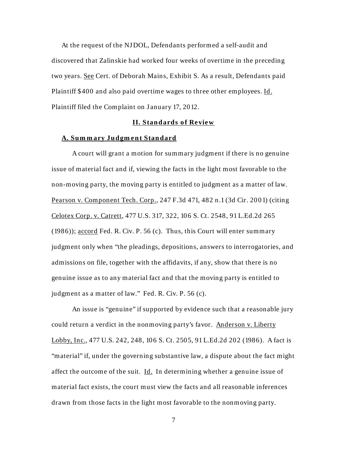At the request of the NJ DOL, Defendants performed a self-audit and discovered that Zalinskie had worked four weeks of overtime in the preceding two years. See Cert. of Deborah Mains, Exhibit S. As a result, Defendants paid Plaintiff \$400 and also paid overtime wages to three other employees. Id. Plaintiff filed the Complaint on J anuary 17, 2012.

### **II. Standards of Review**

#### A. Summary Judgment Standard

A court will grant a motion for summary judgment if there is no genuine issue of material fact and if, viewing the facts in the light most favorable to the non-moving party, the moving party is entitled to judgment as a matter of law. Pearson v. Component Tech. Corp., 247 F.3d 471, 482 n.1 (3d Cir. 2001) (citing Celotex Corp. v. Catrett, 477 U.S. 317, 322, 106 S. Ct. 2548, 91 L.Ed.2d 265 (1986)); accord Fed. R. Civ. P. 56 (c). Thus, this Court will enter summary judgment only when "the pleadings, depositions, answers to interrogatories, and admissions on file, together with the affidavits, if any, show that there is no genuine issue as to any material fact and that the moving party is entitled to judgment as a matter of law." Fed. R. Civ. P. 56 (c).

An issue is "genuine" if supported by evidence such that a reasonable jury could return a verdict in the nonmoving party's favor. Anderson v. Liberty Lobby, Inc., 477 U.S. 242, 248, 106 S. Ct. 2505, 91 L.Ed.2d 202 (1986). A fact is "material" if, under the governing substantive law, a dispute about the fact might affect the outcome of the suit. Id. In determining whether a genuine issue of material fact exists, the court must view the facts and all reasonable inferences drawn from those facts in the light most favorable to the nonmoving party.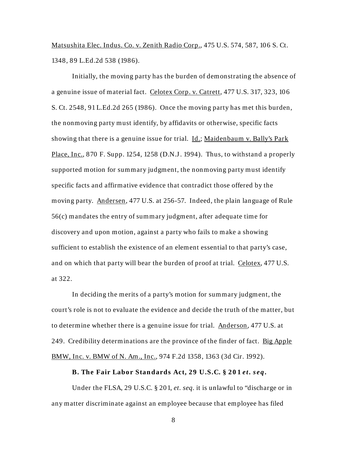Matsushita Elec. Indus. Co. v. Zenith Radio Corp., 475 U.S. 574, 587, 106 S. Ct. 1348, 89 L.Ed.2d 538 (1986).

Initially, the moving party has the burden of demonstrating the absence of a genuine issue of material fact. Celotex Corp. v. Catrett, 477 U.S. 317, 323, 106 S. Ct. 2548, 91 L.Ed.2d 265 (1986). Once the moving party has met this burden, the nonmoving party must identify, by affidavits or otherwise, specific facts showing that there is a genuine issue for trial. Id.; Maidenbaum v. Bally's Park Place, Inc., 870 F. Supp. 1254, 1258 (D.N.J. 1994). Thus, to withstand a properly supported motion for summary judgment, the nonmoving party must identify specific facts and affirmative evidence that contradict those offered by the moving party. Andersen, 477 U.S. at 256-57. Indeed, the plain language of Rule 56(c) mandates the entry of summary judgment, after adequate time for discovery and upon motion, against a party who fails to make a showing sufficient to establish the existence of an element essential to that party's case, and on which that party will bear the burden of proof at trial. Celotex, 477 U.S. at 322.

In deciding the merits of a party's motion for summary judgment, the court's role is not to evaluate the evidence and decide the truth of the matter, but to determine whether there is a genuine issue for trial. Anderson, 477 U.S. at 249. Credibility determinations are the province of the finder of fact. Big Apple BMW, Inc. v. BMW of N. Am., Inc., 974 F.2d 1358, 1363 (3d Cir. 1992).

## **B.** The Fair Labor Standards Act, 29 U.S.C. § 201 *et. seq.*

Under the FLSA, 29 U.S.C. § 201, *et. seq.* it is unlawful to "discharge or in any matter discriminate against an employee because that employee has filed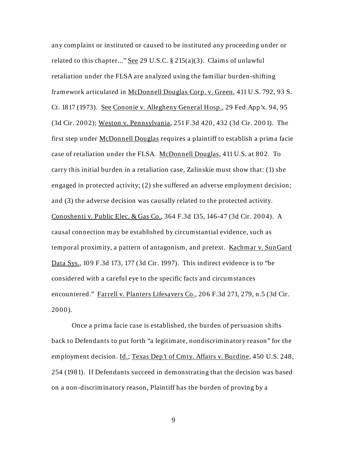any complaint or instituted or caused to be instituted any proceeding under or related to this chapter..." See 29 U.S.C.  $\S 215(a)(3)$ . Claims of unlawful retaliation under the FLSA are analyzed using the familiar burden-shifting framework articulated in McDonnell Douglas Corp. v. Green, 411 U.S. 792, 93 S. Ct. 1817 (1973). See Cononie v. Allegheny General Hosp., 29 Fed.App'x. 94, 95 (3d Cir. 2002); Weston v. Pennsylvania, 251 F.3d 420, 432 (3d Cir. 2001). The first step under McDonnell Douglas requires a plaintiff to establish a prima facie case of retaliation under the FLSA. McDonnell Douglas, 411 U.S. at 802. To carry this initial burden in a retaliation case, Zalinskie must show that: (1) she engaged in protected activity; (2) she suffered an adverse employment decision; and (3) the adverse decision was causally related to the protected activity. Conoshenti v. Public Elec. & Gas Co., 364 F.3d 135, 146-47 (3d Cir. 2004). A causal connection may be established by circumstantial evidence, such as temporal proximity, a pattern of antagonism, and pretext. Kachmar v. SunGard Data Sys., 109 F.3d 173, 177 (3d Cir. 1997). This indirect evidence is to "be considered with a careful eye to the specific facts and circumstances encountered." Farrell v. Planters Lifesavers Co., 206 F.3d 271, 279, n.5 (3d Cir. 2000).

 Once a prima facie case is established, the burden of persuasion shifts back to Defendants to put forth "a legitimate, nondiscriminatory reason" for the employment decision. Id.; Texas Dep't of Cmty. Affairs v. Burdine, 450 U.S. 248, 254 (1981). If Defendants succeed in demonstrating that the decision was based on a non-discriminatory reason, Plaintiff has the burden of proving by a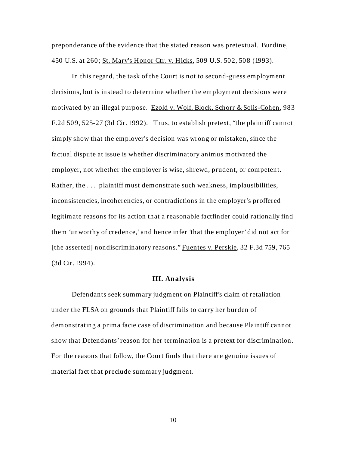preponderance of the evidence that the stated reason was pretextual. Burdine, 450 U.S. at 260; St. Mary's Honor Ctr. v. Hicks, 509 U.S. 502, 508 (1993).

 In this regard, the task of the Court is not to second-guess employment decisions, but is instead to determine whether the employment decisions were motivated by an illegal purpose. Ezold v. Wolf, Block, Schorr & Solis-Cohen, 983 F.2d 509, 525-27 (3d Cir. 1992). Thus, to establish pretext, "the plaintiff cannot simply show that the employer's decision was wrong or mistaken, since the factual dispute at issue is whether discriminatory animus motivated the employer, not whether the employer is wise, shrewd, prudent, or competent. Rather, the . . . plaintiff must demonstrate such weakness, implausibilities, inconsistencies, incoherencies, or contradictions in the employer's proffered legitimate reasons for its action that a reasonable factfinder could rationally find them 'unworthy of credence,' and hence infer 'that the employer' did not act for [the asserted] nondiscriminatory reasons." Fuentes v. Perskie, 32 F.3d 759, 765 (3d Cir. 1994).

#### **III. An alysis**

Defendants seek summary judgment on Plaintiff's claim of retaliation under the FLSA on grounds that Plaintiff fails to carry her burden of demonstrating a prima facie case of discrimination and because Plaintiff cannot show that Defendants' reason for her termination is a pretext for discrimination. For the reasons that follow, the Court finds that there are genuine issues of material fact that preclude summary judgment.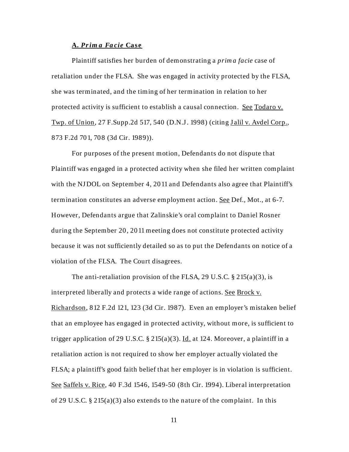#### **A.** *Pr im a Fa cie* **Case**

Plaintiff satisfies her burden of demonstrating a *prim a facie* case of retaliation under the FLSA. She was engaged in activity protected by the FLSA, she was terminated, and the timing of her termination in relation to her protected activity is sufficient to establish a causal connection. See Todaro v. Twp. of Union, 27 F.Supp.2d 517, 540 (D.N.J. 1998) (citing Jalil v. Avdel Corp., 873 F.2d 701, 708 (3d Cir. 1989)).

For purposes of the present motion, Defendants do not dispute that Plaintiff was engaged in a protected activity when she filed her written complaint with the NJDOL on September 4, 2011 and Defendants also agree that Plaintiff's termination constitutes an adverse employment action. See Def., Mot., at 6-7. However, Defendants argue that Zalinskie's oral complaint to Daniel Rosner during the September 20, 2011 meeting does not constitute protected activity because it was not sufficiently detailed so as to put the Defendants on notice of a violation of the FLSA. The Court disagrees.

The anti-retaliation provision of the FLSA, 29 U.S.C.  $\S 215(a)(3)$ , is interpreted liberally and protects a wide range of actions. See Brock v. Richardson, 812 F.2d 121, 123 (3d Cir. 1987). Even an employer's mistaken belief that an employee has engaged in protected activity, without more, is sufficient to trigger application of 29 U.S.C.  $\S$  215(a)(3). Id. at 124. Moreover, a plaintiff in a retaliation action is not required to show her employer actually violated the FLSA; a plaintiff's good faith belief that her employer is in violation is sufficient. See Saffels v. Rice, 40 F.3d 1546, 1549-50 (8th Cir. 1994). Liberal interpretation of 29 U.S.C.  $\S 215(a)(3)$  also extends to the nature of the complaint. In this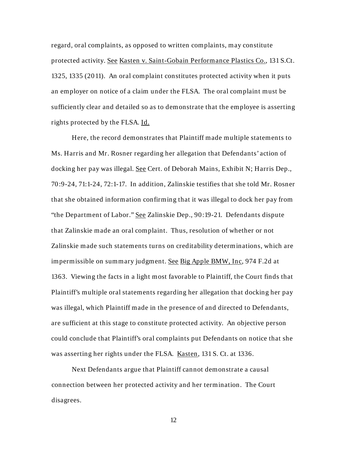regard, oral complaints, as opposed to written complaints, may constitute protected activity. See Kasten v. Saint-Gobain Performance Plastics Co., 131 S.Ct. 1325, 1335 (2011). An oral complaint constitutes protected activity when it puts an employer on notice of a claim under the FLSA. The oral complaint must be sufficiently clear and detailed so as to demonstrate that the employee is asserting rights protected by the FLSA. Id.

Here, the record demonstrates that Plaintiff made multiple statements to Ms. Harris and Mr. Rosner regarding her allegation that Defendants' action of docking her pay was illegal. See Cert. of Deborah Mains, Exhibit N; Harris Dep., 70:9-24, 71:1-24, 72:1-17. In addition, Zalinskie testifies that she told Mr. Rosner that she obtained information confirming that it was illegal to dock her pay from "the Department of Labor." See Zalinskie Dep., 90:19-21. Defendants dispute that Zalinskie made an oral complaint. Thus, resolution of whether or not Zalinskie made such statements turns on creditability determinations, which are impermissible on summary judgment. See Big Apple BMW, Inc, 974 F.2d at 1363. Viewing the facts in a light most favorable to Plaintiff, the Court finds that Plaintiff's multiple oral statements regarding her allegation that docking her pay was illegal, which Plaintiff made in the presence of and directed to Defendants, are sufficient at this stage to constitute protected activity. An objective person could conclude that Plaintiff's oral complaints put Defendants on notice that she was asserting her rights under the FLSA. Kasten, 131 S. Ct. at 1336.

 Next Defendants argue that Plaintiff cannot demonstrate a causal connection between her protected activity and her termination. The Court disagrees.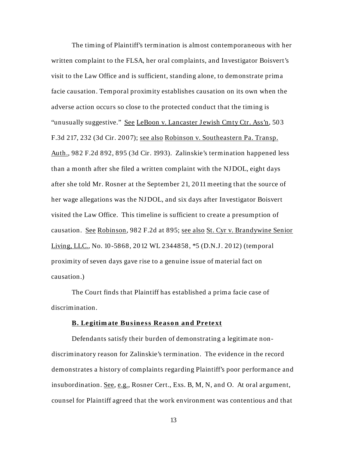The timing of Plaintiff's termination is almost contemporaneous with her written complaint to the FLSA, her oral complaints, and Investigator Boisvert's visit to the Law Office and is sufficient, standing alone, to demonstrate prima facie causation. Temporal proximity establishes causation on its own when the adverse action occurs so close to the protected conduct that the timing is "unusually suggestive." See LeBoon v. Lancaster Jewish Cmty Ctr. Ass'n, 503 F.3d 217, 232 (3d Cir. 2007); see also Robinson v. Southeastern Pa. Transp. Auth., 982 F.2d 892, 895 (3d Cir. 1993). Zalinskie's termination happened less than a month after she filed a written complaint with the NJ DOL, eight days after she told Mr. Rosner at the September 21, 2011 meeting that the source of her wage allegations was the NJ DOL, and six days after Investigator Boisvert visited the Law Office. This timeline is sufficient to create a presumption of causation. See Robinson, 982 F.2d at 895; see also St. Cyr v. Brandywine Senior Living, LLC., No. 10-5868, 2012 WL 2344858, \*5 (D.N.J . 2012) (temporal proximity of seven days gave rise to a genuine issue of material fact on causation.)

The Court finds that Plaintiff has established a prima facie case of discrimination.

#### **B. Legitimate Business Reason and Pretext**

Defendants satisfy their burden of demonstrating a legitimate nondiscriminatory reason for Zalinskie's termination. The evidence in the record demonstrates a history of complaints regarding Plaintiff's poor performance and insubordination. See, e.g., Rosner Cert., Exs. B, M, N, and O. At oral argument, counsel for Plaintiff agreed that the work environment was contentious and that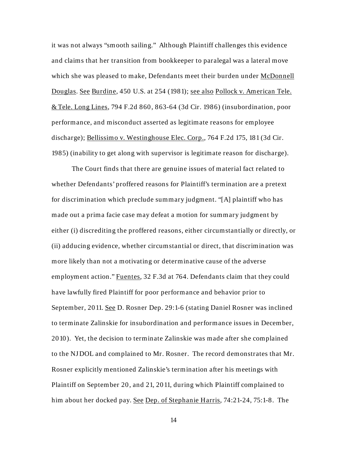it was not always "smooth sailing." Although Plaintiff challenges this evidence and claims that her transition from bookkeeper to paralegal was a lateral move which she was pleased to make, Defendants meet their burden under McDonnell Douglas. See Burdine, 450 U.S. at 254 (1981); see also Pollock v. American Tele. & Tele. Long Lines, 794 F.2d 860, 863-64 (3d Cir. 1986) (insubordination, poor performance, and misconduct asserted as legitimate reasons for employee discharge); Bellissimo v. Westinghouse Elec. Corp., 764 F.2d 175, 181 (3d Cir. 1985) (inability to get along with supervisor is legitimate reason for discharge).

 The Court finds that there are genuine issues of material fact related to whether Defendants' proffered reasons for Plaintiff's termination are a pretext for discrimination which preclude summary judgment. "[A] plaintiff who has made out a prima facie case may defeat a motion for summary judgment by either (i) discrediting the proffered reasons, either circumstantially or directly, or (ii) adducing evidence, whether circumstantial or direct, that discrimination was more likely than not a motivating or determinative cause of the adverse employment action." Fuentes, 32 F.3d at 764. Defendants claim that they could have lawfully fired Plaintiff for poor performance and behavior prior to September, 2011. See D. Rosner Dep. 29:1-6 (stating Daniel Rosner was inclined to terminate Zalinskie for insubordination and performance issues in December, 2010). Yet, the decision to terminate Zalinskie was made after she complained to the NJ DOL and complained to Mr. Rosner. The record demonstrates that Mr. Rosner explicitly mentioned Zalinskie's termination after his meetings with Plaintiff on September 20, and 21, 2011, during which Plaintiff complained to him about her docked pay. See Dep. of Stephanie Harris, 74:21-24, 75:1-8. The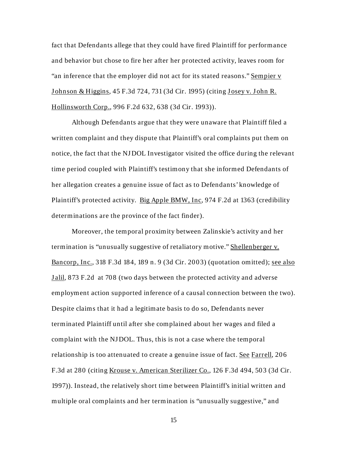fact that Defendants allege that they could have fired Plaintiff for performance and behavior but chose to fire her after her protected activity, leaves room for "an inference that the employer did not act for its stated reasons." Sempier v Johnson & Higgins, 45 F.3d 724, 731 (3d Cir. 1995) (citing Josey v. John R. Hollinsworth Corp., 996 F.2d 632, 638 (3d Cir. 1993)).

Although Defendants argue that they were unaware that Plaintiff filed a written complaint and they dispute that Plaintiff's oral complaints put them on notice, the fact that the NJ DOL Investigator visited the office during the relevant time period coupled with Plaintiff's testimony that she informed Defendants of her allegation creates a genuine issue of fact as to Defendants' knowledge of Plaintiff's protected activity. Big Apple BMW, Inc, 974 F.2d at 1363 (credibility determinations are the province of the fact finder).

 Moreover, the temporal proximity between Zalinskie's activity and her termination is "unusually suggestive of retaliatory motive." Shellenberger v. Bancorp, Inc., 318 F.3d 184, 189 n. 9 (3d Cir. 2003) (quotation omitted); see also **Jalil, 873 F.2d at 708 (two days between the protected activity and adverse** employment action supported inference of a causal connection between the two). Despite claims that it had a legitimate basis to do so, Defendants never terminated Plaintiff until after she complained about her wages and filed a complaint with the NJ DOL. Thus, this is not a case where the temporal relationship is too attenuated to create a genuine issue of fact. See Farrell, 206 F.3d at 280 (citing Krouse v. American Sterilizer Co., 126 F.3d 494, 503 (3d Cir. 1997)). Instead, the relatively short time between Plaintiff's initial written and multiple oral complaints and her termination is "unusually suggestive," and